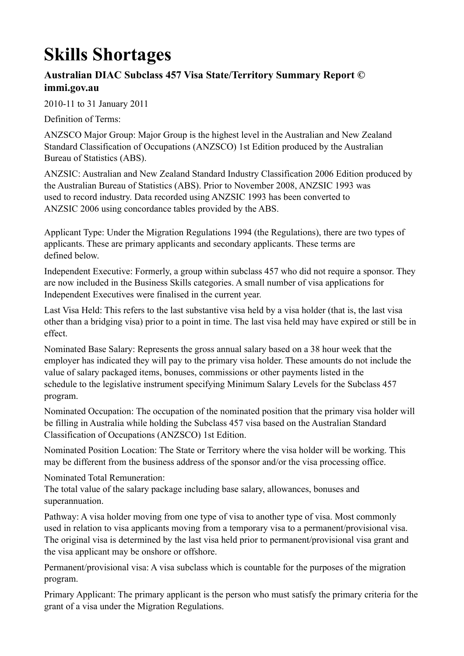## **Skills Shortages**

## **Australian DIAC Subclass 457 Visa State/Territory Summary Report © immi.gov.au**

2010-11 to 31 January 2011

Definition of Terms:

ANZSCO Major Group: Major Group is the highest level in the Australian and New Zealand Standard Classification of Occupations (ANZSCO) 1st Edition produced by the Australian Bureau of Statistics (ABS).

ANZSIC: Australian and New Zealand Standard Industry Classification 2006 Edition produced by the Australian Bureau of Statistics (ABS). Prior to November 2008, ANZSIC 1993 was used to record industry. Data recorded using ANZSIC 1993 has been converted to ANZSIC 2006 using concordance tables provided by the ABS.

Applicant Type: Under the Migration Regulations 1994 (the Regulations), there are two types of applicants. These are primary applicants and secondary applicants. These terms are defined below.

Independent Executive: Formerly, a group within subclass 457 who did not require a sponsor. They are now included in the Business Skills categories. A small number of visa applications for Independent Executives were finalised in the current year.

Last Visa Held: This refers to the last substantive visa held by a visa holder (that is, the last visa other than a bridging visa) prior to a point in time. The last visa held may have expired or still be in effect.

Nominated Base Salary: Represents the gross annual salary based on a 38 hour week that the employer has indicated they will pay to the primary visa holder. These amounts do not include the value of salary packaged items, bonuses, commissions or other payments listed in the schedule to the legislative instrument specifying Minimum Salary Levels for the Subclass 457 program.

Nominated Occupation: The occupation of the nominated position that the primary visa holder will be filling in Australia while holding the Subclass 457 visa based on the Australian Standard Classification of Occupations (ANZSCO) 1st Edition.

Nominated Position Location: The State or Territory where the visa holder will be working. This may be different from the business address of the sponsor and/or the visa processing office.

Nominated Total Remuneration:

The total value of the salary package including base salary, allowances, bonuses and superannuation.

Pathway: A visa holder moving from one type of visa to another type of visa. Most commonly used in relation to visa applicants moving from a temporary visa to a permanent/provisional visa. The original visa is determined by the last visa held prior to permanent/provisional visa grant and the visa applicant may be onshore or offshore.

Permanent/provisional visa: A visa subclass which is countable for the purposes of the migration program.

Primary Applicant: The primary applicant is the person who must satisfy the primary criteria for the grant of a visa under the Migration Regulations.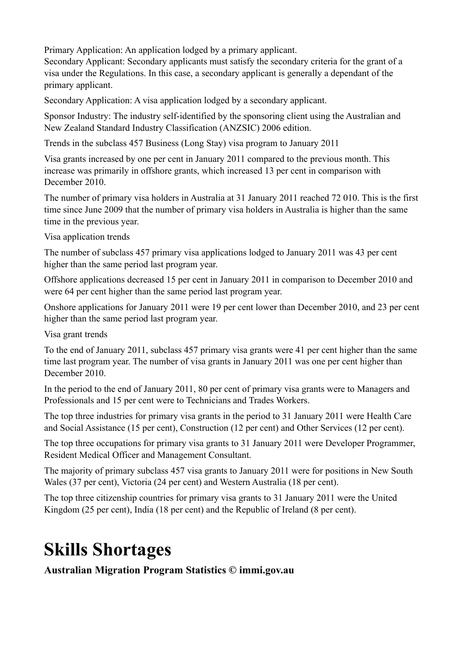Primary Application: An application lodged by a primary applicant.

Secondary Applicant: Secondary applicants must satisfy the secondary criteria for the grant of a visa under the Regulations. In this case, a secondary applicant is generally a dependant of the primary applicant.

Secondary Application: A visa application lodged by a secondary applicant.

Sponsor Industry: The industry self-identified by the sponsoring client using the Australian and New Zealand Standard Industry Classification (ANZSIC) 2006 edition.

Trends in the subclass 457 Business (Long Stay) visa program to January 2011

Visa grants increased by one per cent in January 2011 compared to the previous month. This increase was primarily in offshore grants, which increased 13 per cent in comparison with December 2010.

The number of primary visa holders in Australia at 31 January 2011 reached 72 010. This is the first time since June 2009 that the number of primary visa holders in Australia is higher than the same time in the previous year.

Visa application trends

The number of subclass 457 primary visa applications lodged to January 2011 was 43 per cent higher than the same period last program year.

Offshore applications decreased 15 per cent in January 2011 in comparison to December 2010 and were 64 per cent higher than the same period last program year.

Onshore applications for January 2011 were 19 per cent lower than December 2010, and 23 per cent higher than the same period last program year.

Visa grant trends

To the end of January 2011, subclass 457 primary visa grants were 41 per cent higher than the same time last program year. The number of visa grants in January 2011 was one per cent higher than December 2010.

In the period to the end of January 2011, 80 per cent of primary visa grants were to Managers and Professionals and 15 per cent were to Technicians and Trades Workers.

The top three industries for primary visa grants in the period to 31 January 2011 were Health Care and Social Assistance (15 per cent), Construction (12 per cent) and Other Services (12 per cent).

The top three occupations for primary visa grants to 31 January 2011 were Developer Programmer, Resident Medical Officer and Management Consultant.

The majority of primary subclass 457 visa grants to January 2011 were for positions in New South Wales (37 per cent), Victoria (24 per cent) and Western Australia (18 per cent).

The top three citizenship countries for primary visa grants to 31 January 2011 were the United Kingdom (25 per cent), India (18 per cent) and the Republic of Ireland (8 per cent).

## **Skills Shortages**

**Australian Migration Program Statistics © immi.gov.au**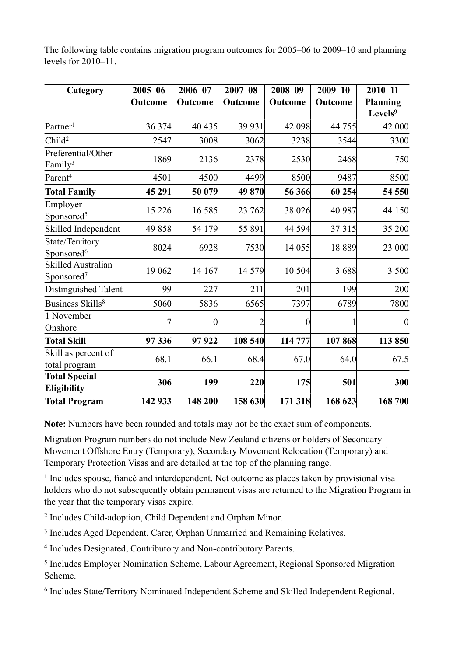The following table contains migration program outcomes for 2005–06 to 2009–10 and planning levels for 2010–11.

| Category                                            | $2005 - 06$<br>Outcome | 2006-07<br>Outcome | $2007 - 08$<br>Outcome | 2008-09<br>Outcome | $2009 - 10$<br>Outcome | $2010 - 11$<br><b>Planning</b><br>Levels <sup>9</sup> |
|-----------------------------------------------------|------------------------|--------------------|------------------------|--------------------|------------------------|-------------------------------------------------------|
| Partner <sup>1</sup>                                | 36 374                 | 40 435             | 39 931                 | 42 098             | 44 755                 | 42 000                                                |
| Child <sup>2</sup>                                  | 2547                   | 3008               | 3062                   | 3238               | 3544                   | 3300                                                  |
| Preferential/Other<br>Family <sup>3</sup>           | 1869                   | 2136               | 2378                   | 2530               | 2468                   | <b>750</b>                                            |
| Parent <sup>4</sup>                                 | 4501                   | 4500               | 4499                   | 8500               | 9487                   | 8500                                                  |
| <b>Total Family</b>                                 | 45 291                 | 50 079             | 49 870                 | 56 366             | 60 254                 | 54 550                                                |
| Employer<br>Sponsored <sup>5</sup>                  | 15 2 26                | 16 5 8 5           | 23 762                 | 38 0 26            | 40 987                 | 44 150                                                |
| Skilled Independent                                 | 49 858                 | 54 179             | 55 891                 | 44 5 94            | 37 315                 | 35 200                                                |
| State/Territory<br>Sponsored <sup>6</sup>           | 8024                   | 6928               | 7530                   | 14 055             | 18 8 8 9               | 23 000                                                |
| <b>Skilled Australian</b><br>Sponsored <sup>7</sup> | 19 062                 | 14 167             | 14 5 79                | 10 504             | 3688                   | 3 500                                                 |
| Distinguished Talent                                | 99                     | 227                | 211                    | 201                | 199                    | 200                                                   |
| Business Skills <sup>8</sup>                        | 5060                   | 5836               | 6565                   | 7397               | 6789                   | 7800                                                  |
| 1 November<br>Onshore                               |                        | 0                  | 2                      | $\Omega$           |                        | $\overline{0}$                                        |
| <b>Total Skill</b>                                  | 97 336                 | 97922              | 108 540                | 114 777            | 107868                 | 113 850                                               |
| Skill as percent of<br>total program                | 68.1                   | 66.1               | 68.4                   | 67.0               | 64.0                   | 67.5                                                  |
| <b>Total Special</b><br><b>Eligibility</b>          | 306                    | 199                | 220                    | 175                | 501                    | <b>300</b>                                            |
| <b>Total Program</b>                                | 142 933                | 148 200            | 158 630                | 171 318            | 168 623                | 168 700                                               |

**Note:** Numbers have been rounded and totals may not be the exact sum of components.

Migration Program numbers do not include New Zealand citizens or holders of Secondary Movement Offshore Entry (Temporary), Secondary Movement Relocation (Temporary) and Temporary Protection Visas and are detailed at the top of the planning range.

<sup>1</sup> Includes spouse, fiancé and interdependent. Net outcome as places taken by provisional visa holders who do not subsequently obtain permanent visas are returned to the Migration Program in the year that the temporary visas expire.

2 Includes Child-adoption, Child Dependent and Orphan Minor.

3 Includes Aged Dependent, Carer, Orphan Unmarried and Remaining Relatives.

4 Includes Designated, Contributory and Non-contributory Parents.

5 Includes Employer Nomination Scheme, Labour Agreement, Regional Sponsored Migration Scheme.

6 Includes State/Territory Nominated Independent Scheme and Skilled Independent Regional.